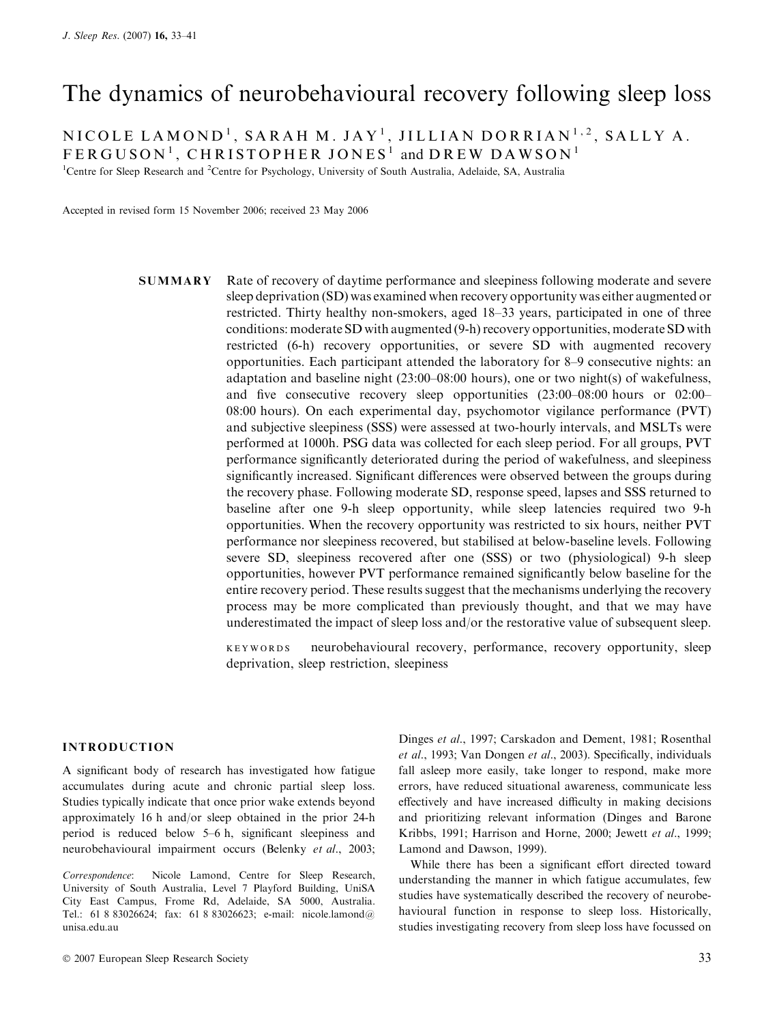# The dynamics of neurobehavioural recovery following sleep loss

 $\rm NICOLE~LAMOND^{1},~SARAH~M.~JAY^{1},JILLIAN~DORRIAN^{1,2}, SALLY~A.$ 

 $\mathsf{FERGUSON}^1$ ,  $\mathsf{CHRISTOPHER~JONES}^1$  and  $\mathsf{DREW~DAWSON}^1$ 

<sup>1</sup>Centre for Sleep Research and <sup>2</sup>Centre for Psychology, University of South Australia, Adelaide, SA, Australia

Accepted in revised form 15 November 2006; received 23 May 2006

SUMMARY Rate of recovery of daytime performance and sleepiness following moderate and severe sleep deprivation (SD) was examined when recovery opportunity was either augmented or restricted. Thirty healthy non-smokers, aged 18–33 years, participated in one of three conditions: moderate SD with augmented (9-h) recovery opportunities, moderate SD with restricted (6-h) recovery opportunities, or severe SD with augmented recovery opportunities. Each participant attended the laboratory for 8–9 consecutive nights: an adaptation and baseline night (23:00–08:00 hours), one or two night(s) of wakefulness, and five consecutive recovery sleep opportunities (23:00–08:00 hours or 02:00– 08:00 hours). On each experimental day, psychomotor vigilance performance (PVT) and subjective sleepiness (SSS) were assessed at two-hourly intervals, and MSLTs were performed at 1000h. PSG data was collected for each sleep period. For all groups, PVT performance significantly deteriorated during the period of wakefulness, and sleepiness significantly increased. Significant differences were observed between the groups during the recovery phase. Following moderate SD, response speed, lapses and SSS returned to baseline after one 9-h sleep opportunity, while sleep latencies required two 9-h opportunities. When the recovery opportunity was restricted to six hours, neither PVT performance nor sleepiness recovered, but stabilised at below-baseline levels. Following severe SD, sleepiness recovered after one (SSS) or two (physiological) 9-h sleep opportunities, however PVT performance remained significantly below baseline for the entire recovery period. These results suggest that the mechanisms underlying the recovery process may be more complicated than previously thought, and that we may have underestimated the impact of sleep loss and/or the restorative value of subsequent sleep.

> keywords neurobehavioural recovery, performance, recovery opportunity, sleep deprivation, sleep restriction, sleepiness

# INTRODUCTION

A significant body of research has investigated how fatigue accumulates during acute and chronic partial sleep loss. Studies typically indicate that once prior wake extends beyond approximately 16 h and/or sleep obtained in the prior 24-h period is reduced below 5–6 h, significant sleepiness and neurobehavioural impairment occurs (Belenky et al., 2003;

Correspondence: Nicole Lamond, Centre for Sleep Research, University of South Australia, Level 7 Playford Building, UniSA City East Campus, Frome Rd, Adelaide, SA 5000, Australia. Tel.: 61 8 83026624; fax: 61 8 83026623; e-mail: nicole.lamond@ unisa.edu.au

errors, have reduced situational awareness, communicate less effectively and have increased difficulty in making decisions and prioritizing relevant information (Dinges and Barone Kribbs, 1991; Harrison and Horne, 2000; Jewett et al., 1999; Lamond and Dawson, 1999). While there has been a significant effort directed toward

understanding the manner in which fatigue accumulates, few studies have systematically described the recovery of neurobehavioural function in response to sleep loss. Historically, studies investigating recovery from sleep loss have focussed on

Dinges et al., 1997; Carskadon and Dement, 1981; Rosenthal et al., 1993; Van Dongen et al., 2003). Specifically, individuals fall asleep more easily, take longer to respond, make more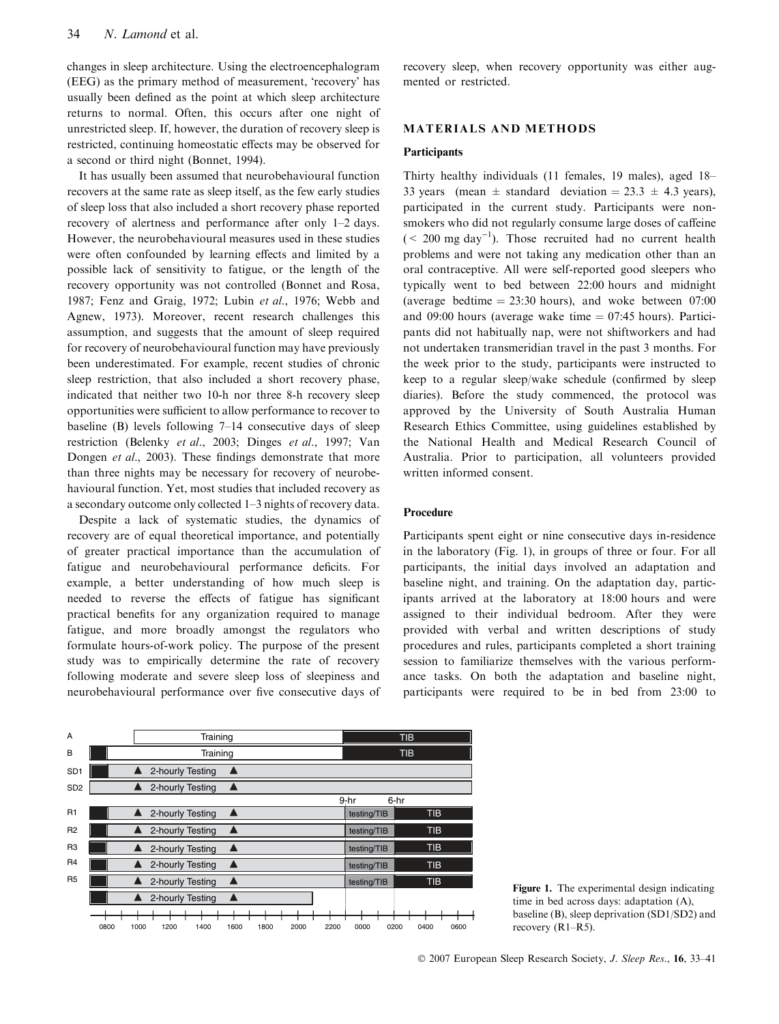changes in sleep architecture. Using the electroencephalogram (EEG) as the primary method of measurement, 'recovery' has usually been defined as the point at which sleep architecture returns to normal. Often, this occurs after one night of unrestricted sleep. If, however, the duration of recovery sleep is restricted, continuing homeostatic effects may be observed for a second or third night (Bonnet, 1994).

It has usually been assumed that neurobehavioural function recovers at the same rate as sleep itself, as the few early studies of sleep loss that also included a short recovery phase reported recovery of alertness and performance after only 1–2 days. However, the neurobehavioural measures used in these studies were often confounded by learning effects and limited by a possible lack of sensitivity to fatigue, or the length of the recovery opportunity was not controlled (Bonnet and Rosa, 1987; Fenz and Graig, 1972; Lubin et al., 1976; Webb and Agnew, 1973). Moreover, recent research challenges this assumption, and suggests that the amount of sleep required for recovery of neurobehavioural function may have previously been underestimated. For example, recent studies of chronic sleep restriction, that also included a short recovery phase, indicated that neither two 10-h nor three 8-h recovery sleep opportunities were sufficient to allow performance to recover to baseline (B) levels following 7–14 consecutive days of sleep restriction (Belenky et al., 2003; Dinges et al., 1997; Van Dongen et al., 2003). These findings demonstrate that more than three nights may be necessary for recovery of neurobehavioural function. Yet, most studies that included recovery as a secondary outcome only collected 1–3 nights of recovery data.

Despite a lack of systematic studies, the dynamics of recovery are of equal theoretical importance, and potentially of greater practical importance than the accumulation of fatigue and neurobehavioural performance deficits. For example, a better understanding of how much sleep is needed to reverse the effects of fatigue has significant practical benefits for any organization required to manage fatigue, and more broadly amongst the regulators who formulate hours-of-work policy. The purpose of the present study was to empirically determine the rate of recovery following moderate and severe sleep loss of sleepiness and neurobehavioural performance over five consecutive days of recovery sleep, when recovery opportunity was either augmented or restricted.

# MATERIALS AND METHODS

## **Participants**

Thirty healthy individuals (11 females, 19 males), aged 18– 33 years (mean  $\pm$  standard deviation  $=$  23.3  $\pm$  4.3 years), participated in the current study. Participants were nonsmokers who did not regularly consume large doses of caffeine  $(< 200 \text{ mg day}^{-1})$ . Those recruited had no current health problems and were not taking any medication other than an oral contraceptive. All were self-reported good sleepers who typically went to bed between 22:00 hours and midnight (average bedtime  $= 23:30$  hours), and woke between 07:00 and 09:00 hours (average wake time  $= 07:45$  hours). Participants did not habitually nap, were not shiftworkers and had not undertaken transmeridian travel in the past 3 months. For the week prior to the study, participants were instructed to keep to a regular sleep/wake schedule (confirmed by sleep diaries). Before the study commenced, the protocol was approved by the University of South Australia Human Research Ethics Committee, using guidelines established by the National Health and Medical Research Council of Australia. Prior to participation, all volunteers provided written informed consent.

## Procedure

Participants spent eight or nine consecutive days in-residence in the laboratory (Fig. 1), in groups of three or four. For all participants, the initial days involved an adaptation and baseline night, and training. On the adaptation day, participants arrived at the laboratory at 18:00 hours and were assigned to their individual bedroom. After they were provided with verbal and written descriptions of study procedures and rules, participants completed a short training session to familiarize themselves with the various performance tasks. On both the adaptation and baseline night, participants were required to be in bed from 23:00 to



time in bed across days: adaptation (A), baseline (B), sleep deprivation (SD1/SD2) and recovery (R1–R5).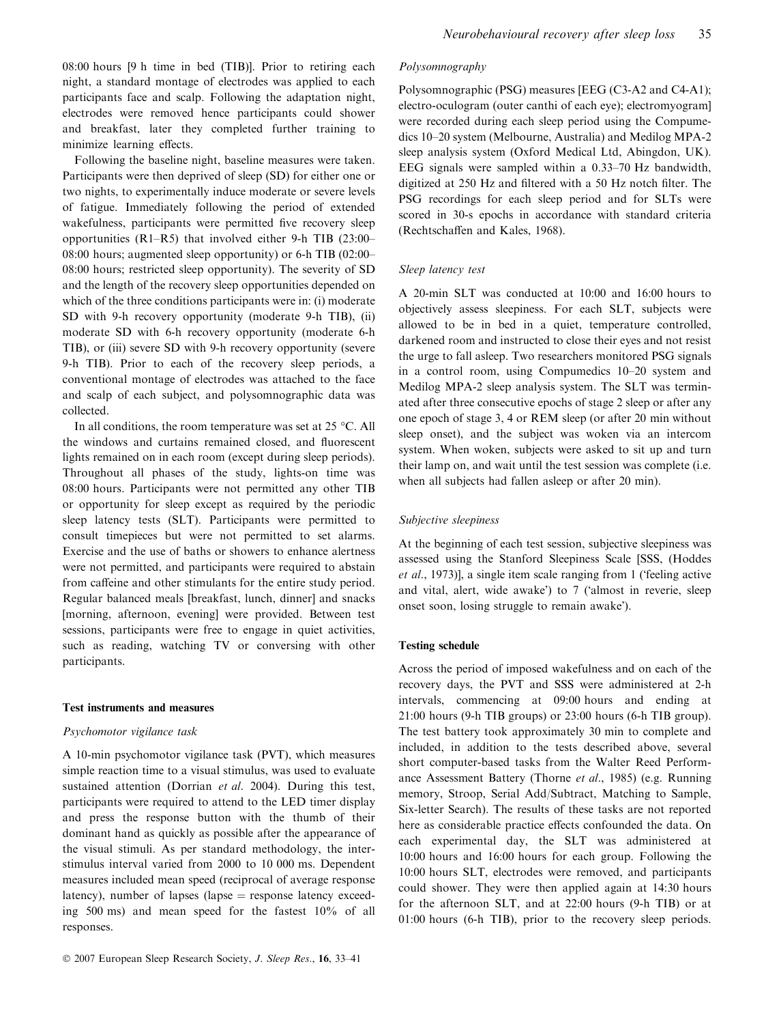08:00 hours [9 h time in bed (TIB)]. Prior to retiring each night, a standard montage of electrodes was applied to each participants face and scalp. Following the adaptation night, electrodes were removed hence participants could shower and breakfast, later they completed further training to minimize learning effects.

Following the baseline night, baseline measures were taken. Participants were then deprived of sleep (SD) for either one or two nights, to experimentally induce moderate or severe levels of fatigue. Immediately following the period of extended wakefulness, participants were permitted five recovery sleep opportunities (R1–R5) that involved either 9-h TIB (23:00– 08:00 hours; augmented sleep opportunity) or 6-h TIB (02:00– 08:00 hours; restricted sleep opportunity). The severity of SD and the length of the recovery sleep opportunities depended on which of the three conditions participants were in: (i) moderate SD with 9-h recovery opportunity (moderate 9-h TIB), (ii) moderate SD with 6-h recovery opportunity (moderate 6-h TIB), or (iii) severe SD with 9-h recovery opportunity (severe 9-h TIB). Prior to each of the recovery sleep periods, a conventional montage of electrodes was attached to the face and scalp of each subject, and polysomnographic data was collected.

In all conditions, the room temperature was set at  $25^{\circ}$ C. All the windows and curtains remained closed, and fluorescent lights remained on in each room (except during sleep periods). Throughout all phases of the study, lights-on time was 08:00 hours. Participants were not permitted any other TIB or opportunity for sleep except as required by the periodic sleep latency tests (SLT). Participants were permitted to consult timepieces but were not permitted to set alarms. Exercise and the use of baths or showers to enhance alertness were not permitted, and participants were required to abstain from caffeine and other stimulants for the entire study period. Regular balanced meals [breakfast, lunch, dinner] and snacks [morning, afternoon, evening] were provided. Between test sessions, participants were free to engage in quiet activities, such as reading, watching TV or conversing with other participants.

#### Test instruments and measures

## Psychomotor vigilance task

A 10-min psychomotor vigilance task (PVT), which measures simple reaction time to a visual stimulus, was used to evaluate sustained attention (Dorrian et al. 2004). During this test, participants were required to attend to the LED timer display and press the response button with the thumb of their dominant hand as quickly as possible after the appearance of the visual stimuli. As per standard methodology, the interstimulus interval varied from 2000 to 10 000 ms. Dependent measures included mean speed (reciprocal of average response latency), number of lapses (lapse  $=$  response latency exceeding 500 ms) and mean speed for the fastest 10% of all responses.

#### Polysomnography

Polysomnographic (PSG) measures [EEG (C3-A2 and C4-A1); electro-oculogram (outer canthi of each eye); electromyogram] were recorded during each sleep period using the Compumedics 10–20 system (Melbourne, Australia) and Medilog MPA-2 sleep analysis system (Oxford Medical Ltd, Abingdon, UK). EEG signals were sampled within a 0.33–70 Hz bandwidth, digitized at 250 Hz and filtered with a 50 Hz notch filter. The PSG recordings for each sleep period and for SLTs were scored in 30-s epochs in accordance with standard criteria (Rechtschaffen and Kales, 1968).

#### Sleep latency test

A 20-min SLT was conducted at 10:00 and 16:00 hours to objectively assess sleepiness. For each SLT, subjects were allowed to be in bed in a quiet, temperature controlled, darkened room and instructed to close their eyes and not resist the urge to fall asleep. Two researchers monitored PSG signals in a control room, using Compumedics 10–20 system and Medilog MPA-2 sleep analysis system. The SLT was terminated after three consecutive epochs of stage 2 sleep or after any one epoch of stage 3, 4 or REM sleep (or after 20 min without sleep onset), and the subject was woken via an intercom system. When woken, subjects were asked to sit up and turn their lamp on, and wait until the test session was complete (i.e. when all subjects had fallen asleep or after 20 min).

## Subjective sleepiness

At the beginning of each test session, subjective sleepiness was assessed using the Stanford Sleepiness Scale [SSS, (Hoddes et al., 1973)], a single item scale ranging from 1 ('feeling active and vital, alert, wide awake') to 7 ('almost in reverie, sleep onset soon, losing struggle to remain awake).

### Testing schedule

Across the period of imposed wakefulness and on each of the recovery days, the PVT and SSS were administered at 2-h intervals, commencing at 09:00 hours and ending at 21:00 hours (9-h TIB groups) or 23:00 hours (6-h TIB group). The test battery took approximately 30 min to complete and included, in addition to the tests described above, several short computer-based tasks from the Walter Reed Performance Assessment Battery (Thorne et al., 1985) (e.g. Running memory, Stroop, Serial Add/Subtract, Matching to Sample, Six-letter Search). The results of these tasks are not reported here as considerable practice effects confounded the data. On each experimental day, the SLT was administered at 10:00 hours and 16:00 hours for each group. Following the 10:00 hours SLT, electrodes were removed, and participants could shower. They were then applied again at 14:30 hours for the afternoon SLT, and at 22:00 hours (9-h TIB) or at 01:00 hours (6-h TIB), prior to the recovery sleep periods.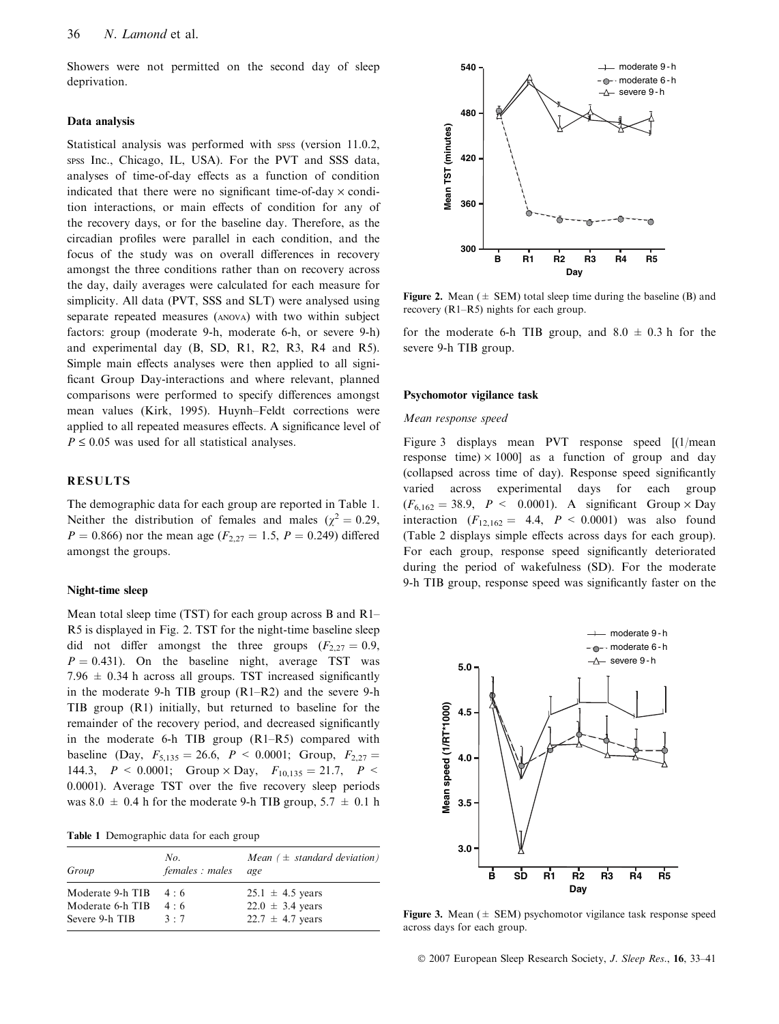Showers were not permitted on the second day of sleep deprivation.

#### Data analysis

Statistical analysis was performed with spss (version 11.0.2, spss Inc., Chicago, IL, USA). For the PVT and SSS data, analyses of time-of-day effects as a function of condition indicated that there were no significant time-of-day  $\times$  condition interactions, or main effects of condition for any of the recovery days, or for the baseline day. Therefore, as the circadian profiles were parallel in each condition, and the focus of the study was on overall differences in recovery amongst the three conditions rather than on recovery across the day, daily averages were calculated for each measure for simplicity. All data (PVT, SSS and SLT) were analysed using separate repeated measures (anova) with two within subject factors: group (moderate 9-h, moderate 6-h, or severe 9-h) and experimental day (B, SD, R1, R2, R3, R4 and R5). Simple main effects analyses were then applied to all significant Group Day-interactions and where relevant, planned comparisons were performed to specify differences amongst mean values (Kirk, 1995). Huynh–Feldt corrections were applied to all repeated measures effects. A significance level of  $P \leq 0.05$  was used for all statistical analyses.

# RESULTS

The demographic data for each group are reported in Table 1. Neither the distribution of females and males ( $\chi^2 = 0.29$ ,  $P = 0.866$ ) nor the mean age ( $F_{2,27} = 1.5$ ,  $P = 0.249$ ) differed amongst the groups.

# Night-time sleep

Mean total sleep time (TST) for each group across B and R1– R5 is displayed in Fig. 2. TST for the night-time baseline sleep did not differ amongst the three groups  $(F_{2,27} = 0.9,$  $P = 0.431$ ). On the baseline night, average TST was 7.96  $\pm$  0.34 h across all groups. TST increased significantly in the moderate 9-h TIB group (R1–R2) and the severe 9-h TIB group (R1) initially, but returned to baseline for the remainder of the recovery period, and decreased significantly in the moderate 6-h TIB group (R1–R5) compared with baseline (Day,  $F_{5,135} = 26.6$ ,  $P < 0.0001$ ; Group,  $F_{2,27} =$ 144.3,  $P < 0.0001$ ; Group  $\times$  Day,  $F_{10,135} = 21.7$ ,  $P <$ 0.0001). Average TST over the five recovery sleep periods was  $8.0 \pm 0.4$  h for the moderate 9-h TIB group,  $5.7 \pm 0.1$  h

Table 1 Demographic data for each group

| Group            | No.<br>females : males | Mean $( \pm$ standard deviation)<br>age |  |
|------------------|------------------------|-----------------------------------------|--|
| Moderate 9-h TIB | $4 \cdot 6$            | $25.1 \pm 4.5$ years                    |  |
| Moderate 6-h TIB | 4:6                    | $22.0 \pm 3.4$ years                    |  |
| Severe 9-h TIB   | $3 \cdot 7$            | $22.7 \pm 4.7$ years                    |  |



**Figure 2.** Mean ( $\pm$  SEM) total sleep time during the baseline (B) and recovery (R1–R5) nights for each group.

for the moderate 6-h TIB group, and  $8.0 \pm 0.3$  h for the severe 9-h TIB group.

#### Psychomotor vigilance task

### Mean response speed

Figure 3 displays mean PVT response speed [(1/mean response time)  $\times$  1000] as a function of group and day (collapsed across time of day). Response speed significantly varied across experimental days for each group  $(F_{6,162} = 38.9, P < 0.0001)$ . A significant Group  $\times$  Day interaction  $(F_{12,162} = 4.4, P < 0.0001)$  was also found (Table 2 displays simple effects across days for each group). For each group, response speed significantly deteriorated during the period of wakefulness (SD). For the moderate 9-h TIB group, response speed was significantly faster on the



Figure 3. Mean ( $\pm$  SEM) psychomotor vigilance task response speed across days for each group.

© 2007 European Sleep Research Society, J. Sleep Res., 16, 33-41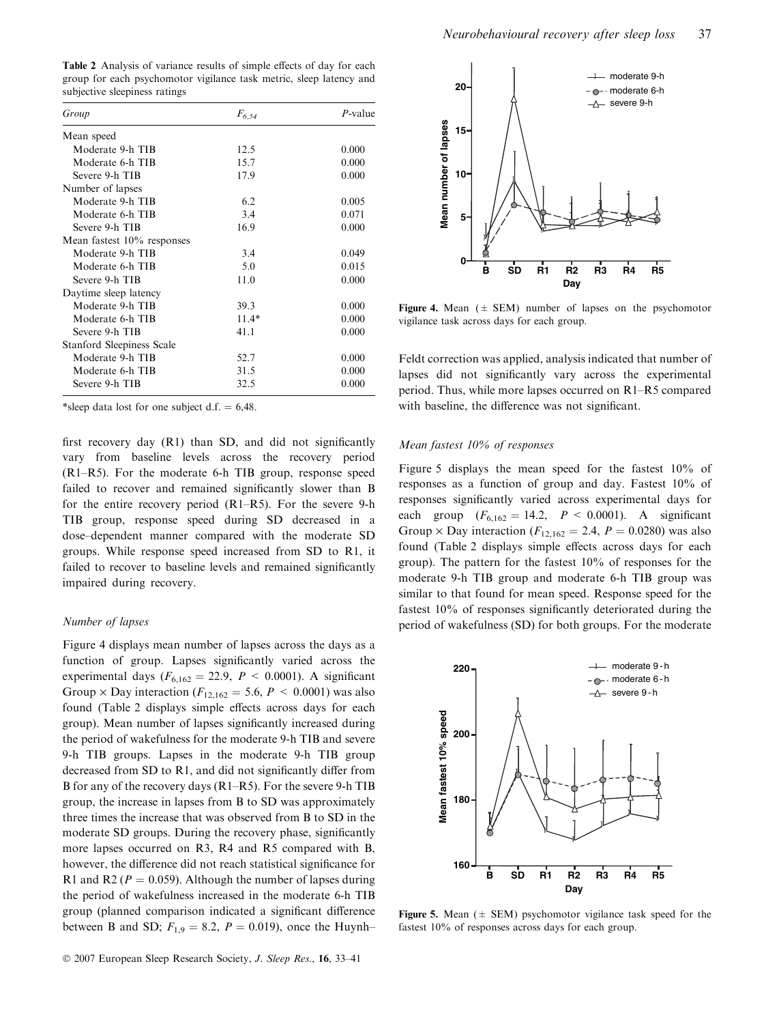Table 2 Analysis of variance results of simple effects of day for each group for each psychomotor vigilance task metric, sleep latency and subjective sleepiness ratings

| Group                         | $F_{6,54}$ | $P$ -value |
|-------------------------------|------------|------------|
| Mean speed                    |            |            |
| Moderate 9-h TIB              | 12.5       | 0.000      |
| Moderate 6-h TIB              | 15.7       | 0.000      |
| Severe 9-h TIB                | 17.9       | 0.000      |
| Number of lapses              |            |            |
| Moderate 9-h TIB              | 6.2        | 0.005      |
| Moderate 6-h TIB              | 3.4        | 0.071      |
| Severe 9-h TIB                | 16.9       | 0.000      |
| Mean fastest $10\%$ responses |            |            |
| Moderate 9-h TIB              | 3.4        | 0.049      |
| Moderate 6-h TIB              | 5.0        | 0.015      |
| Severe 9-h TIB                | 11.0       | 0.000      |
| Daytime sleep latency         |            |            |
| Moderate 9-h TIB              | 39.3       | 0.000      |
| Moderate 6-h TIB              | $11.4*$    | 0.000      |
| Severe 9-h TIB                | 41.1       | 0.000      |
| Stanford Sleepiness Scale     |            |            |
| Moderate 9-h TIB              | 52.7       | 0.000      |
| Moderate 6-h TIB              | 31.5       | 0.000      |
| Severe 9-h TIB                | 32.5       | 0.000      |

\*sleep data lost for one subject d.f.  $= 6,48$ .

first recovery day (R1) than SD, and did not significantly vary from baseline levels across the recovery period (R1–R5). For the moderate 6-h TIB group, response speed failed to recover and remained significantly slower than B for the entire recovery period (R1–R5). For the severe 9-h TIB group, response speed during SD decreased in a dose–dependent manner compared with the moderate SD groups. While response speed increased from SD to R1, it failed to recover to baseline levels and remained significantly impaired during recovery.

### Number of lapses

Figure 4 displays mean number of lapses across the days as a function of group. Lapses significantly varied across the experimental days ( $F_{6,162} = 22.9$ ,  $P < 0.0001$ ). A significant Group  $\times$  Day interaction ( $F_{12,162} = 5.6$ ,  $P \le 0.0001$ ) was also found (Table 2 displays simple effects across days for each group). Mean number of lapses significantly increased during the period of wakefulness for the moderate 9-h TIB and severe 9-h TIB groups. Lapses in the moderate 9-h TIB group decreased from SD to R1, and did not significantly differ from B for any of the recovery days (R1–R5). For the severe 9-h TIB group, the increase in lapses from B to SD was approximately three times the increase that was observed from B to SD in the moderate SD groups. During the recovery phase, significantly more lapses occurred on R3, R4 and R5 compared with B, however, the difference did not reach statistical significance for R1 and R2 ( $P = 0.059$ ). Although the number of lapses during the period of wakefulness increased in the moderate 6-h TIB group (planned comparison indicated a significant difference between B and SD;  $F_{1,9} = 8.2$ ,  $P = 0.019$ ), once the Huynh–



Figure 4. Mean  $(\pm$  SEM) number of lapses on the psychomotor vigilance task across days for each group.

Feldt correction was applied, analysis indicated that number of lapses did not significantly vary across the experimental period. Thus, while more lapses occurred on R1–R5 compared with baseline, the difference was not significant.

# Mean fastest 10% of responses

Figure 5 displays the mean speed for the fastest 10% of responses as a function of group and day. Fastest 10% of responses significantly varied across experimental days for each group  $(F_{6,162} = 14.2, P < 0.0001)$ . A significant Group  $\times$  Day interaction ( $F_{12,162} = 2.4$ ,  $P = 0.0280$ ) was also found (Table 2 displays simple effects across days for each group). The pattern for the fastest 10% of responses for the moderate 9-h TIB group and moderate 6-h TIB group was similar to that found for mean speed. Response speed for the fastest 10% of responses significantly deteriorated during the period of wakefulness (SD) for both groups. For the moderate



Figure 5. Mean ( $\pm$  SEM) psychomotor vigilance task speed for the fastest 10% of responses across days for each group.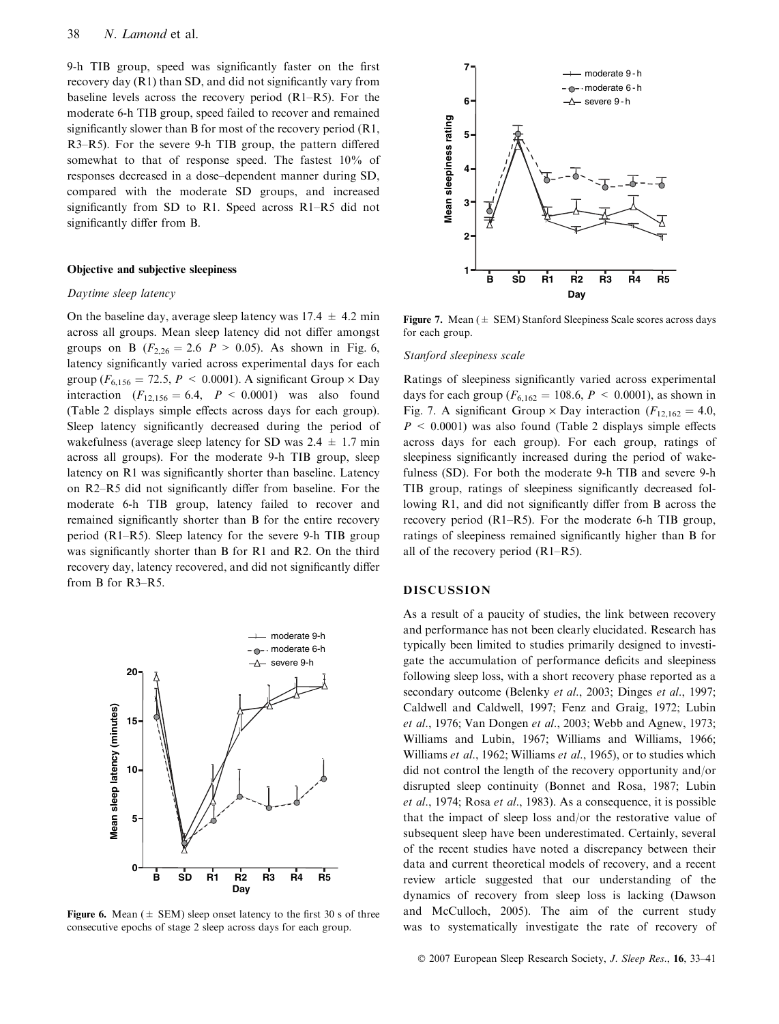9-h TIB group, speed was significantly faster on the first recovery day (R1) than SD, and did not significantly vary from baseline levels across the recovery period (R1–R5). For the moderate 6-h TIB group, speed failed to recover and remained significantly slower than B for most of the recovery period  $(R1, R2)$ R3–R5). For the severe 9-h TIB group, the pattern differed somewhat to that of response speed. The fastest 10% of responses decreased in a dose–dependent manner during SD, compared with the moderate SD groups, and increased significantly from SD to R1. Speed across R1–R5 did not significantly differ from B.

## Objective and subjective sleepiness

### Daytime sleep latency

On the baseline day, average sleep latency was  $17.4 \pm 4.2$  min across all groups. Mean sleep latency did not differ amongst groups on B ( $F_{2,26} = 2.6$  P > 0.05). As shown in Fig. 6, latency significantly varied across experimental days for each group ( $F_{6,156} = 72.5$ ,  $P \le 0.0001$ ). A significant Group  $\times$  Day interaction  $(F_{12,156} = 6.4, P < 0.0001)$  was also found (Table 2 displays simple effects across days for each group). Sleep latency significantly decreased during the period of wakefulness (average sleep latency for SD was  $2.4 \pm 1.7$  min across all groups). For the moderate 9-h TIB group, sleep latency on R1 was significantly shorter than baseline. Latency on R2–R5 did not significantly differ from baseline. For the moderate 6-h TIB group, latency failed to recover and remained significantly shorter than B for the entire recovery period (R1–R5). Sleep latency for the severe 9-h TIB group was significantly shorter than B for R1 and R2. On the third recovery day, latency recovered, and did not significantly differ from B for R3–R5.



Figure 6. Mean ( $\pm$  SEM) sleep onset latency to the first 30 s of three consecutive epochs of stage 2 sleep across days for each group.



Figure 7. Mean  $(\pm$  SEM) Stanford Sleepiness Scale scores across days for each group.

#### Stanford sleepiness scale

Ratings of sleepiness significantly varied across experimental days for each group ( $F_{6,162} = 108.6, P \le 0.0001$ ), as shown in Fig. 7. A significant Group  $\times$  Day interaction ( $F_{12,162} = 4.0$ ,  $P < 0.0001$ ) was also found (Table 2 displays simple effects across days for each group). For each group, ratings of sleepiness significantly increased during the period of wakefulness (SD). For both the moderate 9-h TIB and severe 9-h TIB group, ratings of sleepiness significantly decreased following R1, and did not significantly differ from B across the recovery period (R1–R5). For the moderate 6-h TIB group, ratings of sleepiness remained significantly higher than B for all of the recovery period (R1–R5).

# DISCUSSION

As a result of a paucity of studies, the link between recovery and performance has not been clearly elucidated. Research has typically been limited to studies primarily designed to investigate the accumulation of performance deficits and sleepiness following sleep loss, with a short recovery phase reported as a secondary outcome (Belenky et al., 2003; Dinges et al., 1997; Caldwell and Caldwell, 1997; Fenz and Graig, 1972; Lubin et al., 1976; Van Dongen et al., 2003; Webb and Agnew, 1973; Williams and Lubin, 1967; Williams and Williams, 1966; Williams et al., 1962; Williams et al., 1965), or to studies which did not control the length of the recovery opportunity and/or disrupted sleep continuity (Bonnet and Rosa, 1987; Lubin et al., 1974; Rosa et al., 1983). As a consequence, it is possible that the impact of sleep loss and/or the restorative value of subsequent sleep have been underestimated. Certainly, several of the recent studies have noted a discrepancy between their data and current theoretical models of recovery, and a recent review article suggested that our understanding of the dynamics of recovery from sleep loss is lacking (Dawson and McCulloch, 2005). The aim of the current study was to systematically investigate the rate of recovery of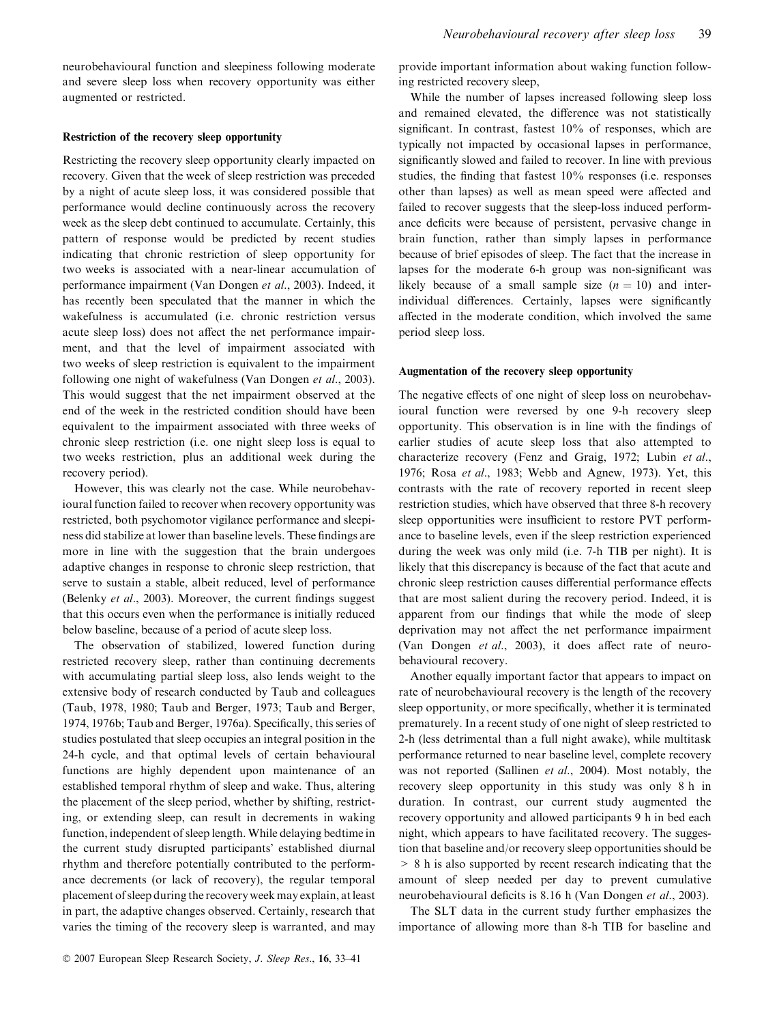neurobehavioural function and sleepiness following moderate and severe sleep loss when recovery opportunity was either augmented or restricted.

# Restriction of the recovery sleep opportunity

Restricting the recovery sleep opportunity clearly impacted on recovery. Given that the week of sleep restriction was preceded by a night of acute sleep loss, it was considered possible that performance would decline continuously across the recovery week as the sleep debt continued to accumulate. Certainly, this pattern of response would be predicted by recent studies indicating that chronic restriction of sleep opportunity for two weeks is associated with a near-linear accumulation of performance impairment (Van Dongen et al., 2003). Indeed, it has recently been speculated that the manner in which the wakefulness is accumulated (i.e. chronic restriction versus acute sleep loss) does not affect the net performance impairment, and that the level of impairment associated with two weeks of sleep restriction is equivalent to the impairment following one night of wakefulness (Van Dongen et al., 2003). This would suggest that the net impairment observed at the end of the week in the restricted condition should have been equivalent to the impairment associated with three weeks of chronic sleep restriction (i.e. one night sleep loss is equal to two weeks restriction, plus an additional week during the recovery period).

However, this was clearly not the case. While neurobehavioural function failed to recover when recovery opportunity was restricted, both psychomotor vigilance performance and sleepiness did stabilize at lower than baseline levels. These findings are more in line with the suggestion that the brain undergoes adaptive changes in response to chronic sleep restriction, that serve to sustain a stable, albeit reduced, level of performance (Belenky et al., 2003). Moreover, the current findings suggest that this occurs even when the performance is initially reduced below baseline, because of a period of acute sleep loss.

The observation of stabilized, lowered function during restricted recovery sleep, rather than continuing decrements with accumulating partial sleep loss, also lends weight to the extensive body of research conducted by Taub and colleagues (Taub, 1978, 1980; Taub and Berger, 1973; Taub and Berger, 1974, 1976b; Taub and Berger, 1976a). Specifically, this series of studies postulated that sleep occupies an integral position in the 24-h cycle, and that optimal levels of certain behavioural functions are highly dependent upon maintenance of an established temporal rhythm of sleep and wake. Thus, altering the placement of the sleep period, whether by shifting, restricting, or extending sleep, can result in decrements in waking function, independent of sleep length. While delaying bedtime in the current study disrupted participants' established diurnal rhythm and therefore potentially contributed to the performance decrements (or lack of recovery), the regular temporal placement of sleep during the recovery week may explain, at least in part, the adaptive changes observed. Certainly, research that varies the timing of the recovery sleep is warranted, and may

provide important information about waking function following restricted recovery sleep,

While the number of lapses increased following sleep loss and remained elevated, the difference was not statistically significant. In contrast, fastest 10% of responses, which are typically not impacted by occasional lapses in performance, significantly slowed and failed to recover. In line with previous studies, the finding that fastest 10% responses (i.e. responses other than lapses) as well as mean speed were affected and failed to recover suggests that the sleep-loss induced performance deficits were because of persistent, pervasive change in brain function, rather than simply lapses in performance because of brief episodes of sleep. The fact that the increase in lapses for the moderate 6-h group was non-significant was likely because of a small sample size  $(n = 10)$  and interindividual differences. Certainly, lapses were significantly affected in the moderate condition, which involved the same period sleep loss.

#### Augmentation of the recovery sleep opportunity

The negative effects of one night of sleep loss on neurobehavioural function were reversed by one 9-h recovery sleep opportunity. This observation is in line with the findings of earlier studies of acute sleep loss that also attempted to characterize recovery (Fenz and Graig, 1972; Lubin et al., 1976; Rosa et al., 1983; Webb and Agnew, 1973). Yet, this contrasts with the rate of recovery reported in recent sleep restriction studies, which have observed that three 8-h recovery sleep opportunities were insufficient to restore PVT performance to baseline levels, even if the sleep restriction experienced during the week was only mild (i.e. 7-h TIB per night). It is likely that this discrepancy is because of the fact that acute and chronic sleep restriction causes differential performance effects that are most salient during the recovery period. Indeed, it is apparent from our findings that while the mode of sleep deprivation may not affect the net performance impairment (Van Dongen et al., 2003), it does affect rate of neurobehavioural recovery.

Another equally important factor that appears to impact on rate of neurobehavioural recovery is the length of the recovery sleep opportunity, or more specifically, whether it is terminated prematurely. In a recent study of one night of sleep restricted to 2-h (less detrimental than a full night awake), while multitask performance returned to near baseline level, complete recovery was not reported (Sallinen et al., 2004). Most notably, the recovery sleep opportunity in this study was only 8 h in duration. In contrast, our current study augmented the recovery opportunity and allowed participants 9 h in bed each night, which appears to have facilitated recovery. The suggestion that baseline and/or recovery sleep opportunities should be > 8 h is also supported by recent research indicating that the amount of sleep needed per day to prevent cumulative neurobehavioural deficits is 8.16 h (Van Dongen et al., 2003).

The SLT data in the current study further emphasizes the importance of allowing more than 8-h TIB for baseline and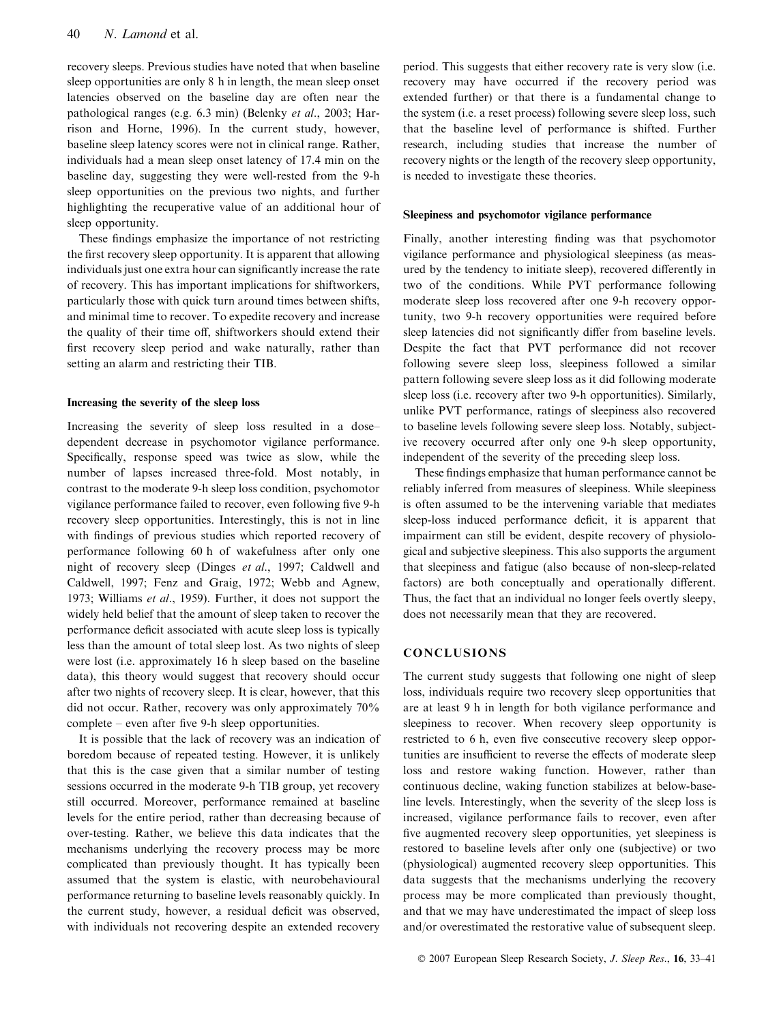recovery sleeps. Previous studies have noted that when baseline sleep opportunities are only 8 h in length, the mean sleep onset latencies observed on the baseline day are often near the pathological ranges (e.g. 6.3 min) (Belenky et al., 2003; Harrison and Horne, 1996). In the current study, however, baseline sleep latency scores were not in clinical range. Rather, individuals had a mean sleep onset latency of 17.4 min on the baseline day, suggesting they were well-rested from the 9-h sleep opportunities on the previous two nights, and further highlighting the recuperative value of an additional hour of sleep opportunity.

These findings emphasize the importance of not restricting the first recovery sleep opportunity. It is apparent that allowing individuals just one extra hour can significantly increase the rate of recovery. This has important implications for shiftworkers, particularly those with quick turn around times between shifts, and minimal time to recover. To expedite recovery and increase the quality of their time off, shiftworkers should extend their first recovery sleep period and wake naturally, rather than setting an alarm and restricting their TIB.

## Increasing the severity of the sleep loss

Increasing the severity of sleep loss resulted in a dose– dependent decrease in psychomotor vigilance performance. Specifically, response speed was twice as slow, while the number of lapses increased three-fold. Most notably, in contrast to the moderate 9-h sleep loss condition, psychomotor vigilance performance failed to recover, even following five 9-h recovery sleep opportunities. Interestingly, this is not in line with findings of previous studies which reported recovery of performance following 60 h of wakefulness after only one night of recovery sleep (Dinges *et al.*, 1997; Caldwell and Caldwell, 1997; Fenz and Graig, 1972; Webb and Agnew, 1973; Williams et al., 1959). Further, it does not support the widely held belief that the amount of sleep taken to recover the performance deficit associated with acute sleep loss is typically less than the amount of total sleep lost. As two nights of sleep were lost (i.e. approximately 16 h sleep based on the baseline data), this theory would suggest that recovery should occur after two nights of recovery sleep. It is clear, however, that this did not occur. Rather, recovery was only approximately 70% complete – even after five 9-h sleep opportunities.

It is possible that the lack of recovery was an indication of boredom because of repeated testing. However, it is unlikely that this is the case given that a similar number of testing sessions occurred in the moderate 9-h TIB group, yet recovery still occurred. Moreover, performance remained at baseline levels for the entire period, rather than decreasing because of over-testing. Rather, we believe this data indicates that the mechanisms underlying the recovery process may be more complicated than previously thought. It has typically been assumed that the system is elastic, with neurobehavioural performance returning to baseline levels reasonably quickly. In the current study, however, a residual deficit was observed, with individuals not recovering despite an extended recovery period. This suggests that either recovery rate is very slow (i.e. recovery may have occurred if the recovery period was extended further) or that there is a fundamental change to the system (i.e. a reset process) following severe sleep loss, such that the baseline level of performance is shifted. Further research, including studies that increase the number of recovery nights or the length of the recovery sleep opportunity, is needed to investigate these theories.

#### Sleepiness and psychomotor vigilance performance

Finally, another interesting finding was that psychomotor vigilance performance and physiological sleepiness (as measured by the tendency to initiate sleep), recovered differently in two of the conditions. While PVT performance following moderate sleep loss recovered after one 9-h recovery opportunity, two 9-h recovery opportunities were required before sleep latencies did not significantly differ from baseline levels. Despite the fact that PVT performance did not recover following severe sleep loss, sleepiness followed a similar pattern following severe sleep loss as it did following moderate sleep loss (i.e. recovery after two 9-h opportunities). Similarly, unlike PVT performance, ratings of sleepiness also recovered to baseline levels following severe sleep loss. Notably, subjective recovery occurred after only one 9-h sleep opportunity, independent of the severity of the preceding sleep loss.

These findings emphasize that human performance cannot be reliably inferred from measures of sleepiness. While sleepiness is often assumed to be the intervening variable that mediates sleep-loss induced performance deficit, it is apparent that impairment can still be evident, despite recovery of physiological and subjective sleepiness. This also supports the argument that sleepiness and fatigue (also because of non-sleep-related factors) are both conceptually and operationally different. Thus, the fact that an individual no longer feels overtly sleepy, does not necessarily mean that they are recovered.

# **CONCLUSIONS**

The current study suggests that following one night of sleep loss, individuals require two recovery sleep opportunities that are at least 9 h in length for both vigilance performance and sleepiness to recover. When recovery sleep opportunity is restricted to 6 h, even five consecutive recovery sleep opportunities are insufficient to reverse the effects of moderate sleep loss and restore waking function. However, rather than continuous decline, waking function stabilizes at below-baseline levels. Interestingly, when the severity of the sleep loss is increased, vigilance performance fails to recover, even after five augmented recovery sleep opportunities, yet sleepiness is restored to baseline levels after only one (subjective) or two (physiological) augmented recovery sleep opportunities. This data suggests that the mechanisms underlying the recovery process may be more complicated than previously thought, and that we may have underestimated the impact of sleep loss and/or overestimated the restorative value of subsequent sleep.